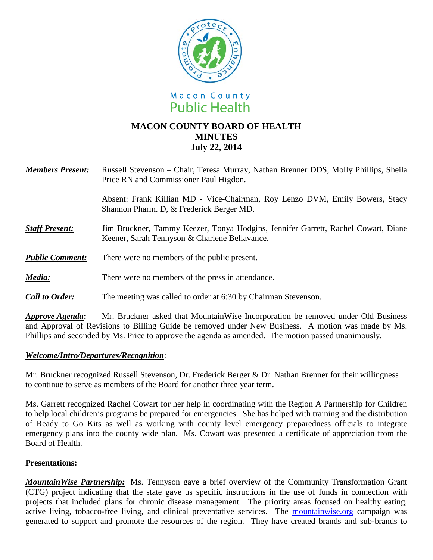



## **MACON COUNTY BOARD OF HEALTH MINUTES July 22, 2014**

| <b>Members Present:</b> Russell Stevenson – Chair, Teresa Murray, Nathan Brenner DDS, Molly Phillips, Sheila |
|--------------------------------------------------------------------------------------------------------------|
| Price RN and Commissioner Paul Higdon.                                                                       |

Absent: Frank Killian MD - Vice-Chairman, Roy Lenzo DVM, Emily Bowers, Stacy Shannon Pharm. D, & Frederick Berger MD.

- **Staff Present:** Jim Bruckner, Tammy Keezer, Tonya Hodgins, Jennifer Garrett, Rachel Cowart, Diane Keener, Sarah Tennyson & Charlene Bellavance.
- *Public Comment:* There were no members of the public present.
- *Media:* There were no members of the press in attendance.
- *Call to Order:* The meeting was called to order at 6:30 by Chairman Stevenson.

*Approve Agenda***:** Mr. Bruckner asked that MountainWise Incorporation be removed under Old Business and Approval of Revisions to Billing Guide be removed under New Business. A motion was made by Ms. Phillips and seconded by Ms. Price to approve the agenda as amended. The motion passed unanimously.

## *Welcome/Intro/Departures/Recognition*:

Mr. Bruckner recognized Russell Stevenson, Dr. Frederick Berger & Dr. Nathan Brenner for their willingness to continue to serve as members of the Board for another three year term.

Ms. Garrett recognized Rachel Cowart for her help in coordinating with the Region A Partnership for Children to help local children's programs be prepared for emergencies. She has helped with training and the distribution of Ready to Go Kits as well as working with county level emergency preparedness officials to integrate emergency plans into the county wide plan. Ms. Cowart was presented a certificate of appreciation from the Board of Health.

## **Presentations:**

*MountainWise Partnership:* Ms. Tennyson gave a brief overview of the Community Transformation Grant (CTG) project indicating that the state gave us specific instructions in the use of funds in connection with projects that included plans for chronic disease management. The priority areas focused on healthy eating, active living, tobacco-free living, and clinical preventative services. The mountainwise.org campaign was generated to support and promote the resources of the region. They have created brands and sub-brands to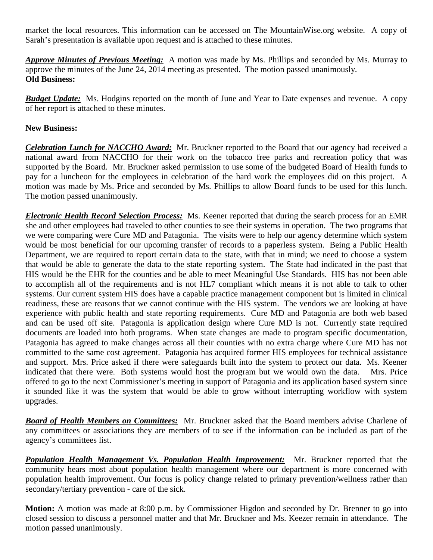market the local resources. This information can be accessed on The MountainWise.org website. A copy of Sarah's presentation is available upon request and is attached to these minutes.

*Approve Minutes of Previous Meeting:* A motion was made by Ms. Phillips and seconded by Ms. Murray to approve the minutes of the June 24, 2014 meeting as presented. The motion passed unanimously. **Old Business:**

*Budget Update:* Ms. Hodgins reported on the month of June and Year to Date expenses and revenue. A copy of her report is attached to these minutes.

## **New Business:**

*Celebration Lunch for NACCHO Award:* Mr. Bruckner reported to the Board that our agency had received a national award from NACCHO for their work on the tobacco free parks and recreation policy that was supported by the Board. Mr. Bruckner asked permission to use some of the budgeted Board of Health funds to pay for a luncheon for the employees in celebration of the hard work the employees did on this project. A motion was made by Ms. Price and seconded by Ms. Phillips to allow Board funds to be used for this lunch. The motion passed unanimously.

*Electronic Health Record Selection Process:* Ms. Keener reported that during the search process for an EMR she and other employees had traveled to other counties to see their systems in operation. The two programs that we were comparing were Cure MD and Patagonia. The visits were to help our agency determine which system would be most beneficial for our upcoming transfer of records to a paperless system. Being a Public Health Department, we are required to report certain data to the state, with that in mind; we need to choose a system that would be able to generate the data to the state reporting system. The State had indicated in the past that HIS would be the EHR for the counties and be able to meet Meaningful Use Standards. HIS has not been able to accomplish all of the requirements and is not HL7 compliant which means it is not able to talk to other systems. Our current system HIS does have a capable practice management component but is limited in clinical readiness, these are reasons that we cannot continue with the HIS system. The vendors we are looking at have experience with public health and state reporting requirements. Cure MD and Patagonia are both web based and can be used off site. Patagonia is application design where Cure MD is not. Currently state required documents are loaded into both programs. When state changes are made to program specific documentation, Patagonia has agreed to make changes across all their counties with no extra charge where Cure MD has not committed to the same cost agreement. Patagonia has acquired former HIS employees for technical assistance and support. Mrs. Price asked if there were safeguards built into the system to protect our data. Ms. Keener indicated that there were. Both systems would host the program but we would own the data. Mrs. Price offered to go to the next Commissioner's meeting in support of Patagonia and its application based system since it sounded like it was the system that would be able to grow without interrupting workflow with system upgrades.

*Board of Health Members on Committees:* Mr. Bruckner asked that the Board members advise Charlene of any committees or associations they are members of to see if the information can be included as part of the agency's committees list.

*Population Health Management Vs. Population Health Improvement:* Mr. Bruckner reported that the community hears most about population health management where our department is more concerned with population health improvement. Our focus is policy change related to primary prevention/wellness rather than secondary/tertiary prevention - care of the sick.

**Motion:** A motion was made at 8:00 p.m. by Commissioner Higdon and seconded by Dr. Brenner to go into closed session to discuss a personnel matter and that Mr. Bruckner and Ms. Keezer remain in attendance. The motion passed unanimously.